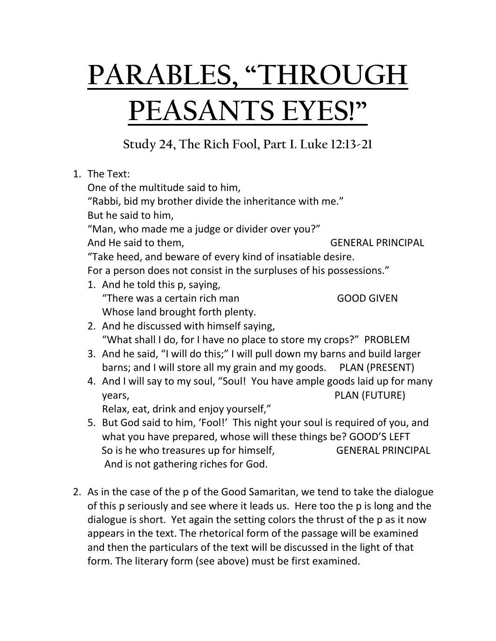## **PARABLES, "THROUGH PEASANTS EYES!"**

**Study 24, The Rich Fool, Part I. Luke 12:13-21**

|  | 1. The Text:                                                                 |                                                                     |  |
|--|------------------------------------------------------------------------------|---------------------------------------------------------------------|--|
|  | One of the multitude said to him,                                            |                                                                     |  |
|  | "Rabbi, bid my brother divide the inheritance with me."                      |                                                                     |  |
|  | But he said to him,                                                          |                                                                     |  |
|  | "Man, who made me a judge or divider over you?"                              |                                                                     |  |
|  | And He said to them,                                                         | <b>GENERAL PRINCIPAL</b>                                            |  |
|  | "Take heed, and beware of every kind of insatiable desire.                   |                                                                     |  |
|  |                                                                              | For a person does not consist in the surpluses of his possessions." |  |
|  |                                                                              |                                                                     |  |
|  | 1. And he told this p, saying,                                               |                                                                     |  |
|  | "There was a certain rich man                                                | <b>GOOD GIVEN</b>                                                   |  |
|  | Whose land brought forth plenty.                                             |                                                                     |  |
|  | 2. And he discussed with himself saying,                                     |                                                                     |  |
|  | "What shall I do, for I have no place to store my crops?" PROBLEM            |                                                                     |  |
|  | 3. And he said, "I will do this;" I will pull down my barns and build larger |                                                                     |  |
|  | barns; and I will store all my grain and my goods. PLAN (PRESENT)            |                                                                     |  |
|  | 4. And I will say to my soul, "Soul! You have ample goods laid up for many   |                                                                     |  |
|  | years,                                                                       | PLAN (FUTURE)                                                       |  |
|  | Relax, eat, drink and enjoy yourself,"                                       |                                                                     |  |
|  | 5. But God said to him, 'Fool!' This night your soul is required of you, and |                                                                     |  |
|  | what you have prepared, whose will these things be? GOOD'S LEFT              |                                                                     |  |
|  |                                                                              |                                                                     |  |
|  | So is he who treasures up for himself,                                       | <b>GENERAL PRINCIPAL</b>                                            |  |
|  | And is not gathering riches for God.                                         |                                                                     |  |

2. As in the case of the p of the Good Samaritan, we tend to take the dialogue of this p seriously and see where it leads us. Here too the p is long and the dialogue is short. Yet again the setting colors the thrust of the p as it now appears in the text. The rhetorical form of the passage will be examined and then the particulars of the text will be discussed in the light of that form. The literary form (see above) must be first examined.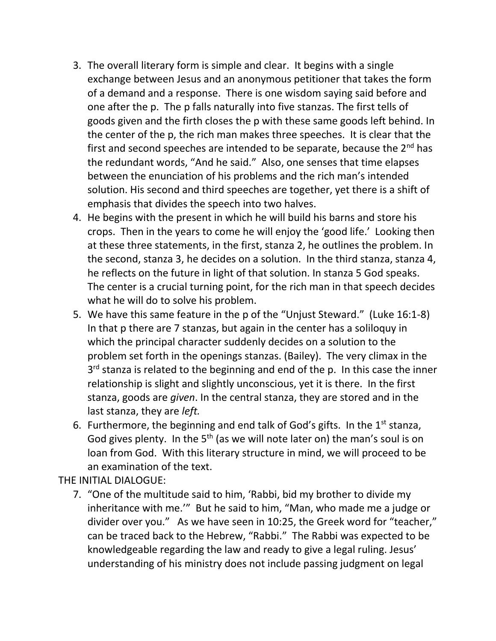- 3. The overall literary form is simple and clear. It begins with a single exchange between Jesus and an anonymous petitioner that takes the form of a demand and a response. There is one wisdom saying said before and one after the p. The p falls naturally into five stanzas. The first tells of goods given and the firth closes the p with these same goods left behind. In the center of the p, the rich man makes three speeches. It is clear that the first and second speeches are intended to be separate, because the  $2<sup>nd</sup>$  has the redundant words, "And he said." Also, one senses that time elapses between the enunciation of his problems and the rich man's intended solution. His second and third speeches are together, yet there is a shift of emphasis that divides the speech into two halves.
- 4. He begins with the present in which he will build his barns and store his crops. Then in the years to come he will enjoy the 'good life.' Looking then at these three statements, in the first, stanza 2, he outlines the problem. In the second, stanza 3, he decides on a solution. In the third stanza, stanza 4, he reflects on the future in light of that solution. In stanza 5 God speaks. The center is a crucial turning point, for the rich man in that speech decides what he will do to solve his problem.
- 5. We have this same feature in the p of the "Unjust Steward." (Luke 16:1-8) In that p there are 7 stanzas, but again in the center has a soliloquy in which the principal character suddenly decides on a solution to the problem set forth in the openings stanzas. (Bailey). The very climax in the 3<sup>rd</sup> stanza is related to the beginning and end of the p. In this case the inner relationship is slight and slightly unconscious, yet it is there. In the first stanza, goods are *given*. In the central stanza, they are stored and in the last stanza, they are *left.*
- 6. Furthermore, the beginning and end talk of God's gifts. In the  $1<sup>st</sup>$  stanza, God gives plenty. In the  $5<sup>th</sup>$  (as we will note later on) the man's soul is on loan from God. With this literary structure in mind, we will proceed to be an examination of the text.

THE INITIAL DIALOGUE:

7. "One of the multitude said to him, 'Rabbi, bid my brother to divide my inheritance with me.'" But he said to him, "Man, who made me a judge or divider over you." As we have seen in 10:25, the Greek word for "teacher," can be traced back to the Hebrew, "Rabbi." The Rabbi was expected to be knowledgeable regarding the law and ready to give a legal ruling. Jesus' understanding of his ministry does not include passing judgment on legal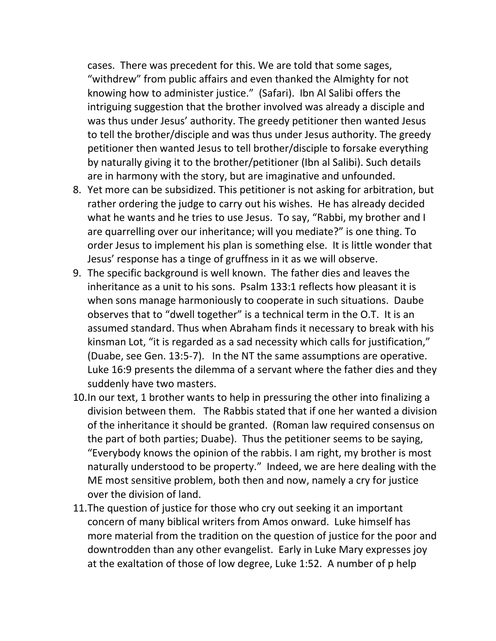cases. There was precedent for this. We are told that some sages, "withdrew" from public affairs and even thanked the Almighty for not knowing how to administer justice." (Safari). Ibn Al Salibi offers the intriguing suggestion that the brother involved was already a disciple and was thus under Jesus' authority. The greedy petitioner then wanted Jesus to tell the brother/disciple and was thus under Jesus authority. The greedy petitioner then wanted Jesus to tell brother/disciple to forsake everything by naturally giving it to the brother/petitioner (Ibn al Salibi). Such details are in harmony with the story, but are imaginative and unfounded.

- 8. Yet more can be subsidized. This petitioner is not asking for arbitration, but rather ordering the judge to carry out his wishes. He has already decided what he wants and he tries to use Jesus. To say, "Rabbi, my brother and I are quarrelling over our inheritance; will you mediate?" is one thing. To order Jesus to implement his plan is something else. It is little wonder that Jesus' response has a tinge of gruffness in it as we will observe.
- 9. The specific background is well known. The father dies and leaves the inheritance as a unit to his sons. Psalm 133:1 reflects how pleasant it is when sons manage harmoniously to cooperate in such situations. Daube observes that to "dwell together" is a technical term in the O.T. It is an assumed standard. Thus when Abraham finds it necessary to break with his kinsman Lot, "it is regarded as a sad necessity which calls for justification," (Duabe, see Gen. 13:5-7). In the NT the same assumptions are operative. Luke 16:9 presents the dilemma of a servant where the father dies and they suddenly have two masters.
- 10.In our text, 1 brother wants to help in pressuring the other into finalizing a division between them. The Rabbis stated that if one her wanted a division of the inheritance it should be granted. (Roman law required consensus on the part of both parties; Duabe). Thus the petitioner seems to be saying, "Everybody knows the opinion of the rabbis. I am right, my brother is most naturally understood to be property." Indeed, we are here dealing with the ME most sensitive problem, both then and now, namely a cry for justice over the division of land.
- 11.The question of justice for those who cry out seeking it an important concern of many biblical writers from Amos onward. Luke himself has more material from the tradition on the question of justice for the poor and downtrodden than any other evangelist. Early in Luke Mary expresses joy at the exaltation of those of low degree, Luke 1:52. A number of p help